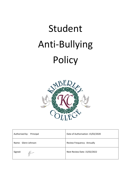# Student Anti-Bullying Policy



| Authorised by:<br>Principal | Date of Authorisation: 15/02/2020 |
|-----------------------------|-----------------------------------|
| Name: Glenn Johnson         | Review Frequency: Annually        |
| Signed:                     | Next Review Date: 15/02/2022      |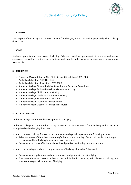# Student Anti Bullying Policy



# **1. PURPOSE**

The purpose of this policy is to protect students from bullying and to respond appropriately when bullying does occur.

## **2. SCOPE**

Students, parents and employees, including full-time part-time, permanent, fixed-term and casual employees, as well as contractors, volunteers and people undertaking work experience or vocational placements.

## **3. REFERENCES**

- Education (Accreditation of Non-State Schools) Regulations 2001 (Qld)
- Australian Education Act 2013 (Cth)
- Australian Education Regulations 2013 (Cth)
- Kimberley College Student Bullying Reporting and Response Procedures
- Kimberley College Positive Behaviour Management Policy
- Kimberley College Child Protection Policy
- Kimberley College Disability Discrimination Policy
- Kimberley College Student Code of Conduct
- Kimberley College Dispute Resolution Policy
- Kimberley College Dispute Resolution Procedures

## **4. POLICY STATEMENT**

Kimberley College has a zero tolerance approach to bullying.

Kimberley College is committed to taking action to protect students from bullying and to respond appropriately when bullying does occur.

In order to prevent bullying from occurring, Kimberley College will implement the following actions:

- Raise awareness of the school community's shared understanding of what bullying is, how it impacts on people and how bullying is responded to at the school
- Develop and promote effective social skills and positive relationships amongst students

In order to respond appropriately to any incidences of bullying, Kimberley College will:

- Develop an appropriate mechanism for students and parents to report bullying
- Educate students and parents on how to respond, in the first instance, to incidences of bullying, and how to then report all incidences of bullying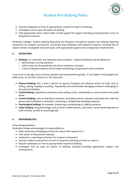

# Student Anti Bullying Policy

- Educate employees on how to appropriately respond to reports of bullying
- Investigate and act upon all reports of bullying
- Take appropriate action, which might include support for targets of bullying and perpetrators and / or disciplinary measures

Kimberley Colleges' Student Bullying Reporting and Response Procedures explains the bullying reporting mechanism for students and parents, and details how employees will respond to reports, including that all reports will be investigated and acted upon, with appropriate support and consequences implemented.

# **5. DEFINITIONS**

- **Bullying:** is a systematic and repeated abuse of power. In general bullying may be defined as:
	- o dominating or hurting someone
	- $\circ$  unfair action by the perpetrator (s) and an imbalance of power
	- $\circ$  a lack of adequate defence by the target and feelings of oppression and humiliation

It can occur at any age, across cultures, genders and socioeconomic groups. It can happen in the playground, toilet areas, to and from school or in the classroom.

- **Physical bullying:** this is when a person (or group of people) uses physical actions to bully, such as hitting, poking, tripping or pushing. Repeatedly and intentionally damaging someone's belongings is also physical bullying.
- **Verbal bullying:** repeated or systematic name calling, insults, homophobic or racist remarks and verbal abuse
- **Convert bullying:** such as lying about someone, spreading rumours, playing a nasty joke that make the person feel humiliated or powerless, mimicking or deliberately excluding someone
- **Psychological bullying:** for example, threatening, manipulating or stalking someone
- **Cyber bullying:** using technology, such as email, mobile phones, chat rooms, social networking sites to bully verbally, socially or psychologically.

## **6. RESPONSIBILITIES**

School Responsibilities:

Kimberley College acknowledges its responsibility to:

- Raise awareness of bullying and how the school with respond to it
- Take action to help prevent bullying
- Implement a reporting mechanism for students and parents
- Educate students and parents on how to respond to bullying and how to report it
- Educate employees on how to appropriately respond to bullying
- Investigate and act upon all reports of bullying, including providing appropriate support and consequences